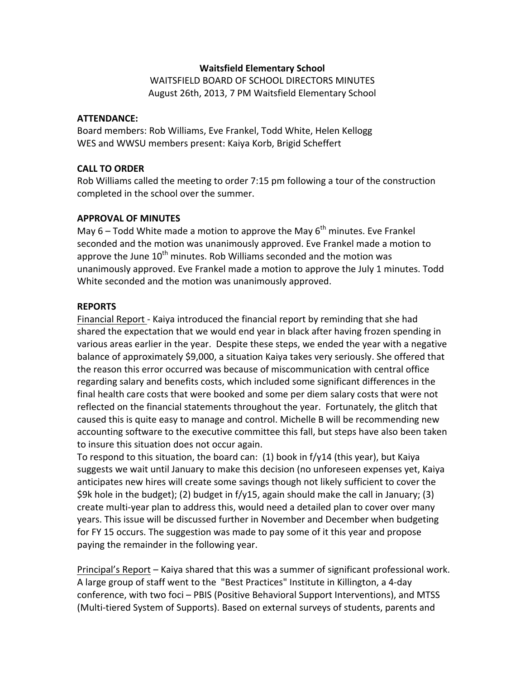### **Waitsfield\*Elementary\*School**

WAITSFIELD BOARD OF SCHOOL DIRECTORS MINUTES August 26th, 2013, 7 PM Waitsfield Elementary School

#### **ATTENDANCE:**

Board members: Rob Williams, Eve Frankel, Todd White, Helen Kellogg WES and WWSU members present: Kaiya Korb, Brigid Scheffert

### **CALL TO ORDER**

Rob Williams called the meeting to order 7:15 pm following a tour of the construction completed in the school over the summer.

#### **APPROVAL OF MINUTES**

May 6 – Todd White made a motion to approve the May 6<sup>th</sup> minutes. Eve Frankel seconded and the motion was unanimously approved. Eve Frankel made a motion to approve the June  $10^{th}$  minutes. Rob Williams seconded and the motion was unanimously approved. Eve Frankel made a motion to approve the July 1 minutes. Todd White seconded and the motion was unanimously approved.

#### **REPORTS**

Financial Report - Kaiya introduced the financial report by reminding that she had shared the expectation that we would end year in black after having frozen spending in various areas earlier in the year. Despite these steps, we ended the year with a negative balance of approximately \$9,000, a situation Kaiya takes very seriously. She offered that the reason this error occurred was because of miscommunication with central office regarding salary and benefits costs, which included some significant differences in the final health care costs that were booked and some per diem salary costs that were not reflected on the financial statements throughout the year. Fortunately, the glitch that caused this is quite easy to manage and control. Michelle B will be recommending new accounting software to the executive committee this fall, but steps have also been taken to insure this situation does not occur again.

To respond to this situation, the board can: (1) book in f/y14 (this year), but Kaiya suggests we wait until January to make this decision (no unforeseen expenses yet, Kaiya anticipates new hires will create some savings though not likely sufficient to cover the \$9k hole in the budget); (2) budget in f/y15, again should make the call in January; (3) create multi-year plan to address this, would need a detailed plan to cover over many years. This issue will be discussed further in November and December when budgeting for FY 15 occurs. The suggestion was made to pay some of it this year and propose paying the remainder in the following year.

Principal's Report – Kaiya shared that this was a summer of significant professional work. A large group of staff went to the "Best Practices" Institute in Killington, a 4-day conference, with two foci – PBIS (Positive Behavioral Support Interventions), and MTSS (Multi-tiered System of Supports). Based on external surveys of students, parents and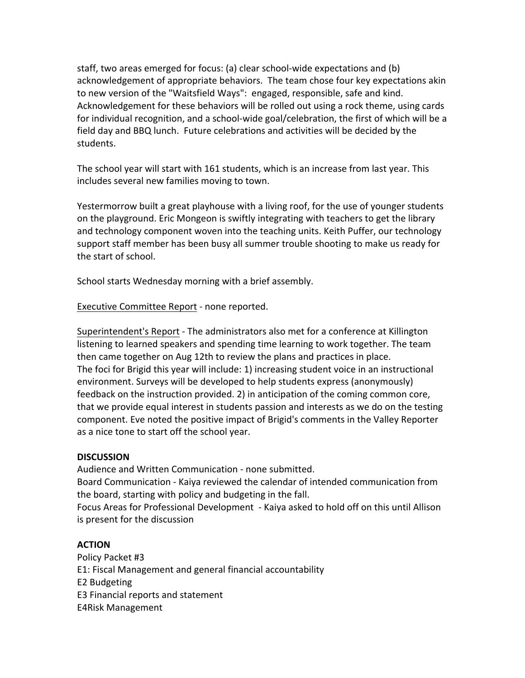staff, two areas emerged for focus: (a) clear school-wide expectations and (b) acknowledgement of appropriate behaviors. The team chose four key expectations akin to new version of the "Waitsfield Ways": engaged, responsible, safe and kind. Acknowledgement for these behaviors will be rolled out using a rock theme, using cards for individual recognition, and a school-wide goal/celebration, the first of which will be a field day and BBQ lunch. Future celebrations and activities will be decided by the students.\*

The school year will start with 161 students, which is an increase from last year. This includes several new families moving to town.

Yestermorrow built a great playhouse with a living roof, for the use of younger students on the playground. Eric Mongeon is swiftly integrating with teachers to get the library and technology component woven into the teaching units. Keith Puffer, our technology support staff member has been busy all summer trouble shooting to make us ready for the start of school.

School starts Wednesday morning with a brief assembly.

Executive Committee Report - none reported.

Superintendent's Report - The administrators also met for a conference at Killington listening to learned speakers and spending time learning to work together. The team then came together on Aug 12th to review the plans and practices in place. The foci for Brigid this year will include: 1) increasing student voice in an instructional environment. Surveys will be developed to help students express (anonymously) feedback on the instruction provided. 2) in anticipation of the coming common core, that we provide equal interest in students passion and interests as we do on the testing component. Eve noted the positive impact of Brigid's comments in the Valley Reporter as a nice tone to start off the school year.

## **DISCUSSION**

Audience and Written Communication - none submitted. Board Communication - Kaiya reviewed the calendar of intended communication from

the board, starting with policy and budgeting in the fall. Focus Areas for Professional Development - Kaiya asked to hold off on this until Allison is present for the discussion

# **ACTION**

Policy Packet #3 E1: Fiscal Management and general financial accountability E2 Budgeting E3 Financial reports and statement E4Risk Management